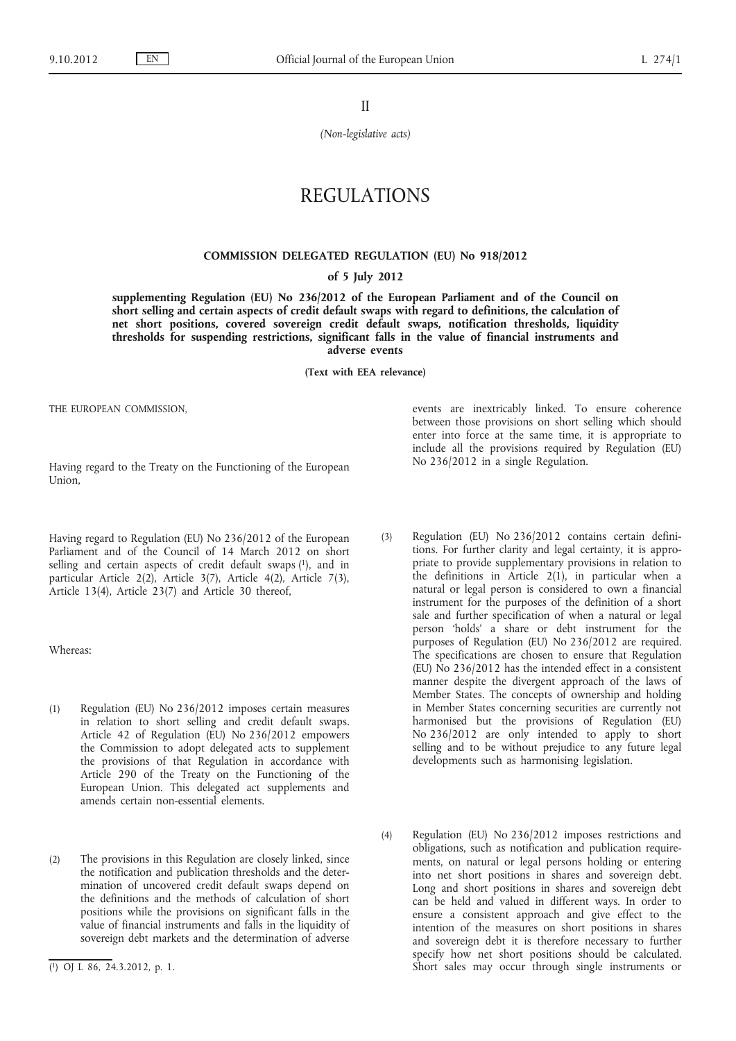II

*(Non-legislative acts)*

# REGULATIONS

### **COMMISSION DELEGATED REGULATION (EU) No 918/2012**

#### **of 5 July 2012**

**supplementing Regulation (EU) No 236/2012 of the European Parliament and of the Council on short selling and certain aspects of credit default swaps with regard to definitions, the calculation of net short positions, covered sovereign credit default swaps, notification thresholds, liquidity thresholds for suspending restrictions, significant falls in the value of financial instruments and adverse events**

**(Text with EEA relevance)**

THE EUROPEAN COMMISSION,

Having regard to the Treaty on the Functioning of the European Union,

Having regard to Regulation (EU) No 236/2012 of the European Parliament and of the Council of 14 March 2012 on short selling and certain aspects of credit default swaps  $(1)$ , and in particular Article 2(2), Article 3(7), Article 4(2), Article 7(3), Article 13(4), Article 23(7) and Article 30 thereof,

Whereas:

- (1) Regulation (EU) No 236/2012 imposes certain measures in relation to short selling and credit default swaps. Article 42 of Regulation (EU) No 236/2012 empowers the Commission to adopt delegated acts to supplement the provisions of that Regulation in accordance with Article 290 of the Treaty on the Functioning of the European Union. This delegated act supplements and amends certain non-essential elements.
- (2) The provisions in this Regulation are closely linked, since the notification and publication thresholds and the determination of uncovered credit default swaps depend on the definitions and the methods of calculation of short positions while the provisions on significant falls in the value of financial instruments and falls in the liquidity of sovereign debt markets and the determination of adverse

events are inextricably linked. To ensure coherence between those provisions on short selling which should enter into force at the same time, it is appropriate to include all the provisions required by Regulation (EU) No 236/2012 in a single Regulation.

- (3) Regulation (EU) No 236/2012 contains certain definitions. For further clarity and legal certainty, it is appropriate to provide supplementary provisions in relation to the definitions in Article 2(1), in particular when a natural or legal person is considered to own a financial instrument for the purposes of the definition of a short sale and further specification of when a natural or legal person 'holds' a share or debt instrument for the purposes of Regulation (EU) No 236/2012 are required. The specifications are chosen to ensure that Regulation (EU) No 236/2012 has the intended effect in a consistent manner despite the divergent approach of the laws of Member States. The concepts of ownership and holding in Member States concerning securities are currently not harmonised but the provisions of Regulation (EU) No 236/2012 are only intended to apply to short selling and to be without prejudice to any future legal developments such as harmonising legislation.
- (4) Regulation (EU) No 236/2012 imposes restrictions and obligations, such as notification and publication requirements, on natural or legal persons holding or entering into net short positions in shares and sovereign debt. Long and short positions in shares and sovereign debt can be held and valued in different ways. In order to ensure a consistent approach and give effect to the intention of the measures on short positions in shares and sovereign debt it is therefore necessary to further specify how net short positions should be calculated. Short sales may occur through single instruments or

<sup>(</sup> 1) OJ L 86, 24.3.2012, p. 1.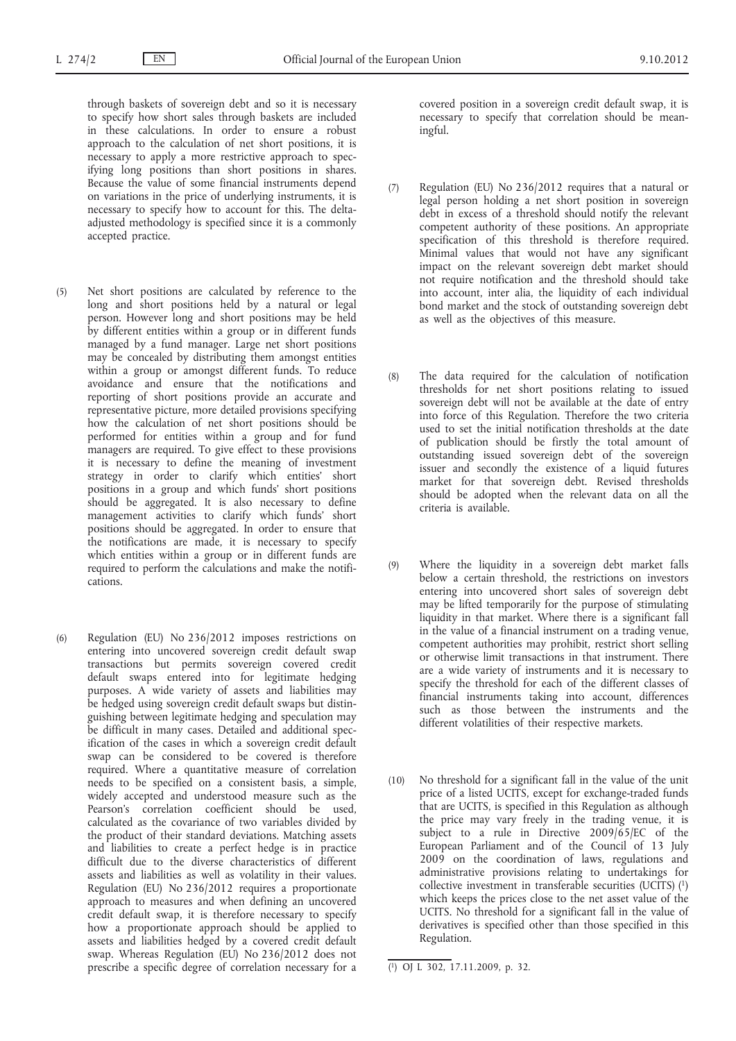through baskets of sovereign debt and so it is necessary to specify how short sales through baskets are included in these calculations. In order to ensure a robust approach to the calculation of net short positions, it is necessary to apply a more restrictive approach to specifying long positions than short positions in shares. Because the value of some financial instruments depend on variations in the price of underlying instruments, it is necessary to specify how to account for this. The deltaadjusted methodology is specified since it is a commonly accepted practice.

- (5) Net short positions are calculated by reference to the long and short positions held by a natural or legal person. However long and short positions may be held by different entities within a group or in different funds managed by a fund manager. Large net short positions may be concealed by distributing them amongst entities within a group or amongst different funds. To reduce avoidance and ensure that the notifications and reporting of short positions provide an accurate and representative picture, more detailed provisions specifying how the calculation of net short positions should be performed for entities within a group and for fund managers are required. To give effect to these provisions it is necessary to define the meaning of investment strategy in order to clarify which entities' short positions in a group and which funds' short positions should be aggregated. It is also necessary to define management activities to clarify which funds' short positions should be aggregated. In order to ensure that the notifications are made, it is necessary to specify which entities within a group or in different funds are required to perform the calculations and make the notifications.
- (6) Regulation (EU) No 236/2012 imposes restrictions on entering into uncovered sovereign credit default swap transactions but permits sovereign covered credit default swaps entered into for legitimate hedging purposes. A wide variety of assets and liabilities may be hedged using sovereign credit default swaps but distinguishing between legitimate hedging and speculation may be difficult in many cases. Detailed and additional specification of the cases in which a sovereign credit default swap can be considered to be covered is therefore required. Where a quantitative measure of correlation needs to be specified on a consistent basis, a simple, widely accepted and understood measure such as the Pearson's correlation coefficient should be used, calculated as the covariance of two variables divided by the product of their standard deviations. Matching assets and liabilities to create a perfect hedge is in practice difficult due to the diverse characteristics of different assets and liabilities as well as volatility in their values. Regulation (EU) No 236/2012 requires a proportionate approach to measures and when defining an uncovered credit default swap, it is therefore necessary to specify how a proportionate approach should be applied to assets and liabilities hedged by a covered credit default swap. Whereas Regulation (EU) No 236/2012 does not prescribe a specific degree of correlation necessary for a

covered position in a sovereign credit default swap, it is necessary to specify that correlation should be meaningful.

- (7) Regulation (EU) No 236/2012 requires that a natural or legal person holding a net short position in sovereign debt in excess of a threshold should notify the relevant competent authority of these positions. An appropriate specification of this threshold is therefore required. Minimal values that would not have any significant impact on the relevant sovereign debt market should not require notification and the threshold should take into account, inter alia, the liquidity of each individual bond market and the stock of outstanding sovereign debt as well as the objectives of this measure.
- (8) The data required for the calculation of notification thresholds for net short positions relating to issued sovereign debt will not be available at the date of entry into force of this Regulation. Therefore the two criteria used to set the initial notification thresholds at the date of publication should be firstly the total amount of outstanding issued sovereign debt of the sovereign issuer and secondly the existence of a liquid futures market for that sovereign debt. Revised thresholds should be adopted when the relevant data on all the criteria is available.
- (9) Where the liquidity in a sovereign debt market falls below a certain threshold, the restrictions on investors entering into uncovered short sales of sovereign debt may be lifted temporarily for the purpose of stimulating liquidity in that market. Where there is a significant fall in the value of a financial instrument on a trading venue, competent authorities may prohibit, restrict short selling or otherwise limit transactions in that instrument. There are a wide variety of instruments and it is necessary to specify the threshold for each of the different classes of financial instruments taking into account, differences such as those between the instruments and the different volatilities of their respective markets.
- (10) No threshold for a significant fall in the value of the unit price of a listed UCITS, except for exchange-traded funds that are UCITS, is specified in this Regulation as although the price may vary freely in the trading venue, it is subject to a rule in Directive 2009/65/EC of the European Parliament and of the Council of 13 July 2009 on the coordination of laws, regulations and administrative provisions relating to undertakings for collective investment in transferable securities (UCITS) (1) which keeps the prices close to the net asset value of the UCITS. No threshold for a significant fall in the value of derivatives is specified other than those specified in this Regulation.

<sup>(</sup> 1) OJ L 302, 17.11.2009, p. 32.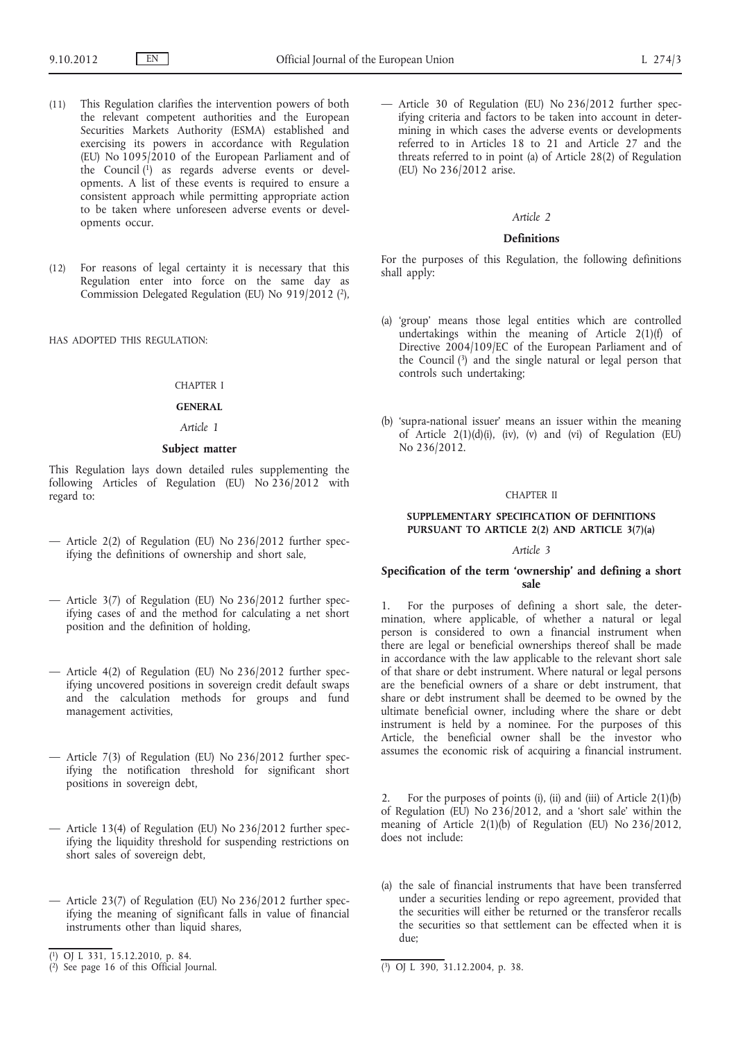- (11) This Regulation clarifies the intervention powers of both the relevant competent authorities and the European Securities Markets Authority (ESMA) established and exercising its powers in accordance with Regulation (EU) No 1095/2010 of the European Parliament and of the Council  $(1)$  as regards adverse events or developments. A list of these events is required to ensure a consistent approach while permitting appropriate action to be taken where unforeseen adverse events or developments occur.
- (12) For reasons of legal certainty it is necessary that this Regulation enter into force on the same day as Commission Delegated Regulation (EU) No 919/2012 (2),

HAS ADOPTED THIS REGULATION:

#### CHAPTER I

#### **GENERAL**

### *Article 1*

### **Subject matter**

This Regulation lays down detailed rules supplementing the following Articles of Regulation (EU) No 236/2012 with regard to:

- Article 2(2) of Regulation (EU) No 236/2012 further specifying the definitions of ownership and short sale,
- Article 3(7) of Regulation (EU) No 236/2012 further specifying cases of and the method for calculating a net short position and the definition of holding,
- Article 4(2) of Regulation (EU) No 236/2012 further specifying uncovered positions in sovereign credit default swaps and the calculation methods for groups and fund management activities,
- Article 7(3) of Regulation (EU) No 236/2012 further specifying the notification threshold for significant short positions in sovereign debt,
- Article 13(4) of Regulation (EU) No 236/2012 further specifying the liquidity threshold for suspending restrictions on short sales of sovereign debt,
- Article 23(7) of Regulation (EU) No 236/2012 further specifying the meaning of significant falls in value of financial instruments other than liquid shares,

— Article 30 of Regulation (EU) No 236/2012 further specifying criteria and factors to be taken into account in determining in which cases the adverse events or developments referred to in Articles 18 to 21 and Article 27 and the threats referred to in point (a) of Article 28(2) of Regulation (EU) No 236/2012 arise.

#### *Article 2*

### **Definitions**

For the purposes of this Regulation, the following definitions shall apply:

- (a) 'group' means those legal entities which are controlled undertakings within the meaning of Article 2(1)(f) of Directive 2004/109/EC of the European Parliament and of the Council (3) and the single natural or legal person that controls such undertaking;
- (b) 'supra-national issuer' means an issuer within the meaning of Article  $2(1)(d)(i)$ , (iv), (v) and (vi) of Regulation (EU) No 236/2012.

#### CHAPTER II

#### **SUPPLEMENTARY SPECIFICATION OF DEFINITIONS PURSUANT TO ARTICLE 2(2) AND ARTICLE 3(7)(a)**

#### *Article 3*

#### **Specification of the term 'ownership' and defining a short sale**

1. For the purposes of defining a short sale, the determination, where applicable, of whether a natural or legal person is considered to own a financial instrument when there are legal or beneficial ownerships thereof shall be made in accordance with the law applicable to the relevant short sale of that share or debt instrument. Where natural or legal persons are the beneficial owners of a share or debt instrument, that share or debt instrument shall be deemed to be owned by the ultimate beneficial owner, including where the share or debt instrument is held by a nominee. For the purposes of this Article, the beneficial owner shall be the investor who assumes the economic risk of acquiring a financial instrument.

2. For the purposes of points (i), (ii) and (iii) of Article  $2(1)(b)$ of Regulation (EU) No 236/2012, and a 'short sale' within the meaning of Article 2(1)(b) of Regulation (EU) No 236/2012, does not include:

(a) the sale of financial instruments that have been transferred under a securities lending or repo agreement, provided that the securities will either be returned or the transferor recalls the securities so that settlement can be effected when it is due;

<sup>(</sup> 1) OJ L 331, 15.12.2010, p. 84.

<sup>(</sup> 2) See page 16 of this Official Journal. (3) OJ L 390, 31.12.2004, p. 38.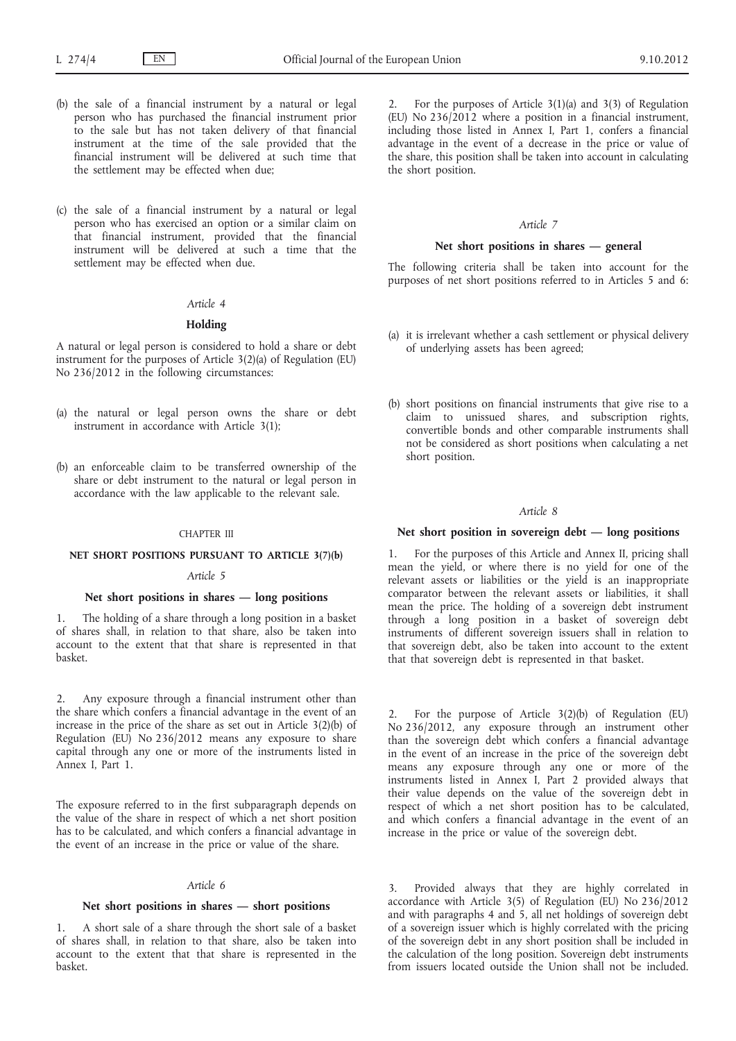- (b) the sale of a financial instrument by a natural or legal person who has purchased the financial instrument prior to the sale but has not taken delivery of that financial instrument at the time of the sale provided that the financial instrument will be delivered at such time that the settlement may be effected when due;
- (c) the sale of a financial instrument by a natural or legal person who has exercised an option or a similar claim on that financial instrument, provided that the financial instrument will be delivered at such a time that the settlement may be effected when due.

# *Article 4*

#### **Holding**

A natural or legal person is considered to hold a share or debt instrument for the purposes of Article 3(2)(a) of Regulation (EU) No 236/2012 in the following circumstances:

- (a) the natural or legal person owns the share or debt instrument in accordance with Article 3(1);
- (b) an enforceable claim to be transferred ownership of the share or debt instrument to the natural or legal person in accordance with the law applicable to the relevant sale.

#### CHAPTER III

#### **NET SHORT POSITIONS PURSUANT TO ARTICLE 3(7)(b)**

#### *Article 5*

#### **Net short positions in shares — long positions**

1. The holding of a share through a long position in a basket of shares shall, in relation to that share, also be taken into account to the extent that that share is represented in that basket.

2. Any exposure through a financial instrument other than the share which confers a financial advantage in the event of an increase in the price of the share as set out in Article 3(2)(b) of Regulation (EU) No  $236/2012$  means any exposure to share capital through any one or more of the instruments listed in Annex I, Part 1.

The exposure referred to in the first subparagraph depends on the value of the share in respect of which a net short position has to be calculated, and which confers a financial advantage in the event of an increase in the price or value of the share.

# *Article 6*

#### **Net short positions in shares — short positions**

1. A short sale of a share through the short sale of a basket of shares shall, in relation to that share, also be taken into account to the extent that that share is represented in the basket.

2. For the purposes of Article 3(1)(a) and 3(3) of Regulation (EU) No 236/2012 where a position in a financial instrument, including those listed in Annex I, Part 1, confers a financial advantage in the event of a decrease in the price or value of the share, this position shall be taken into account in calculating the short position.

#### *Article 7*

#### **Net short positions in shares — general**

The following criteria shall be taken into account for the purposes of net short positions referred to in Articles 5 and 6:

- (a) it is irrelevant whether a cash settlement or physical delivery of underlying assets has been agreed;
- (b) short positions on financial instruments that give rise to a claim to unissued shares, and subscription rights, convertible bonds and other comparable instruments shall not be considered as short positions when calculating a net short position.

### *Article 8*

### **Net short position in sovereign debt — long positions**

1. For the purposes of this Article and Annex II, pricing shall mean the yield, or where there is no yield for one of the relevant assets or liabilities or the yield is an inappropriate comparator between the relevant assets or liabilities, it shall mean the price. The holding of a sovereign debt instrument through a long position in a basket of sovereign debt instruments of different sovereign issuers shall in relation to that sovereign debt, also be taken into account to the extent that that sovereign debt is represented in that basket.

For the purpose of Article  $3(2)(b)$  of Regulation (EU) No 236/2012, any exposure through an instrument other than the sovereign debt which confers a financial advantage in the event of an increase in the price of the sovereign debt means any exposure through any one or more of the instruments listed in Annex I, Part 2 provided always that their value depends on the value of the sovereign debt in respect of which a net short position has to be calculated, and which confers a financial advantage in the event of an increase in the price or value of the sovereign debt.

3. Provided always that they are highly correlated in accordance with Article 3(5) of Regulation (EU) No 236/2012 and with paragraphs 4 and 5, all net holdings of sovereign debt of a sovereign issuer which is highly correlated with the pricing of the sovereign debt in any short position shall be included in the calculation of the long position. Sovereign debt instruments from issuers located outside the Union shall not be included.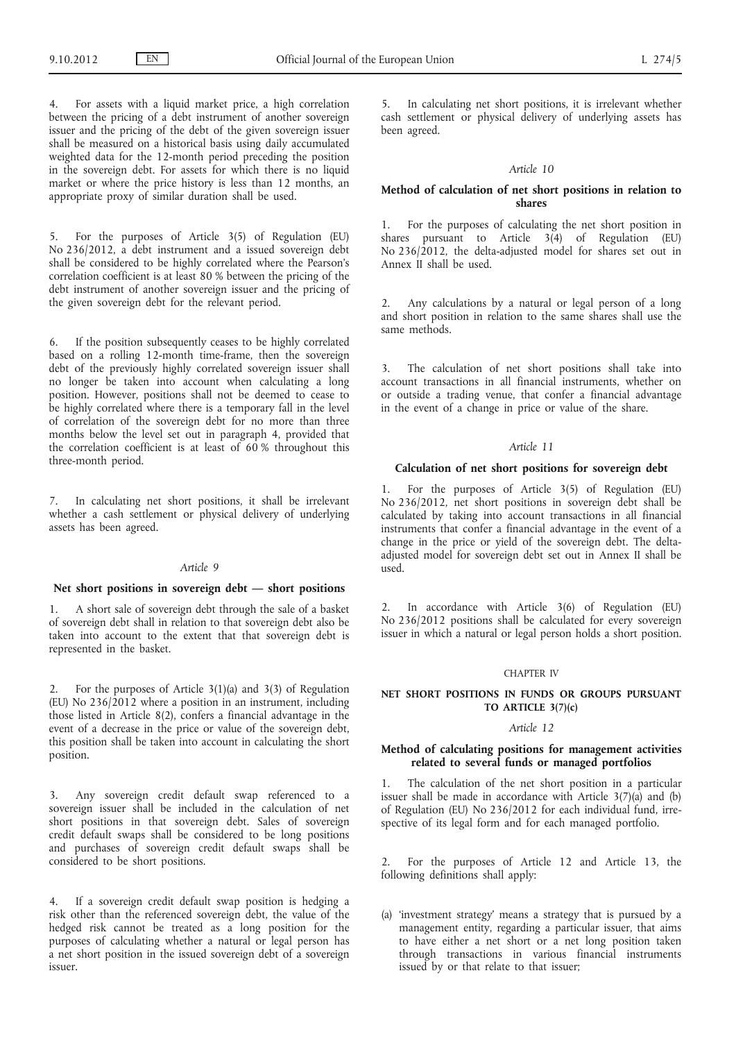4. For assets with a liquid market price, a high correlation between the pricing of a debt instrument of another sovereign issuer and the pricing of the debt of the given sovereign issuer shall be measured on a historical basis using daily accumulated weighted data for the 12-month period preceding the position in the sovereign debt. For assets for which there is no liquid market or where the price history is less than 12 months, an appropriate proxy of similar duration shall be used.

5. For the purposes of Article 3(5) of Regulation (EU) No 236/2012, a debt instrument and a issued sovereign debt shall be considered to be highly correlated where the Pearson's correlation coefficient is at least 80 % between the pricing of the debt instrument of another sovereign issuer and the pricing of the given sovereign debt for the relevant period.

6. If the position subsequently ceases to be highly correlated based on a rolling 12-month time-frame, then the sovereign debt of the previously highly correlated sovereign issuer shall no longer be taken into account when calculating a long position. However, positions shall not be deemed to cease to be highly correlated where there is a temporary fall in the level of correlation of the sovereign debt for no more than three months below the level set out in paragraph 4, provided that the correlation coefficient is at least of  $60$  % throughout this three-month period.

7. In calculating net short positions, it shall be irrelevant whether a cash settlement or physical delivery of underlying assets has been agreed.

#### *Article 9*

# **Net short positions in sovereign debt — short positions**

1. A short sale of sovereign debt through the sale of a basket of sovereign debt shall in relation to that sovereign debt also be taken into account to the extent that that sovereign debt is represented in the basket.

2. For the purposes of Article 3(1)(a) and 3(3) of Regulation (EU) No  $236/2012$  where a position in an instrument, including those listed in Article 8(2), confers a financial advantage in the event of a decrease in the price or value of the sovereign debt, this position shall be taken into account in calculating the short position.

3. Any sovereign credit default swap referenced to a sovereign issuer shall be included in the calculation of net short positions in that sovereign debt. Sales of sovereign credit default swaps shall be considered to be long positions and purchases of sovereign credit default swaps shall be considered to be short positions.

If a sovereign credit default swap position is hedging a risk other than the referenced sovereign debt, the value of the hedged risk cannot be treated as a long position for the purposes of calculating whether a natural or legal person has a net short position in the issued sovereign debt of a sovereign issuer.

5. In calculating net short positions, it is irrelevant whether cash settlement or physical delivery of underlying assets has been agreed.

#### *Article 10*

#### **Method of calculation of net short positions in relation to shares**

1. For the purposes of calculating the net short position in shares pursuant to Article  $3(4)$  of Regulation (EU) No 236/2012, the delta-adjusted model for shares set out in Annex II shall be used.

2. Any calculations by a natural or legal person of a long and short position in relation to the same shares shall use the same methods.

3. The calculation of net short positions shall take into account transactions in all financial instruments, whether on or outside a trading venue, that confer a financial advantage in the event of a change in price or value of the share.

#### *Article 11*

#### **Calculation of net short positions for sovereign debt**

1. For the purposes of Article 3(5) of Regulation (EU) No 236/2012, net short positions in sovereign debt shall be calculated by taking into account transactions in all financial instruments that confer a financial advantage in the event of a change in the price or yield of the sovereign debt. The deltaadjusted model for sovereign debt set out in Annex II shall be used.

2. In accordance with Article 3(6) of Regulation (EU) No 236/2012 positions shall be calculated for every sovereign issuer in which a natural or legal person holds a short position.

### CHAPTER IV

### **NET SHORT POSITIONS IN FUNDS OR GROUPS PURSUANT TO ARTICLE 3(7)(c)**

### *Article 12*

### **Method of calculating positions for management activities related to several funds or managed portfolios**

1. The calculation of the net short position in a particular issuer shall be made in accordance with Article  $3(7)(a)$  and (b) of Regulation (EU) No 236/2012 for each individual fund, irrespective of its legal form and for each managed portfolio.

2. For the purposes of Article 12 and Article 13, the following definitions shall apply:

(a) 'investment strategy' means a strategy that is pursued by a management entity, regarding a particular issuer, that aims to have either a net short or a net long position taken through transactions in various financial instruments issued by or that relate to that issuer;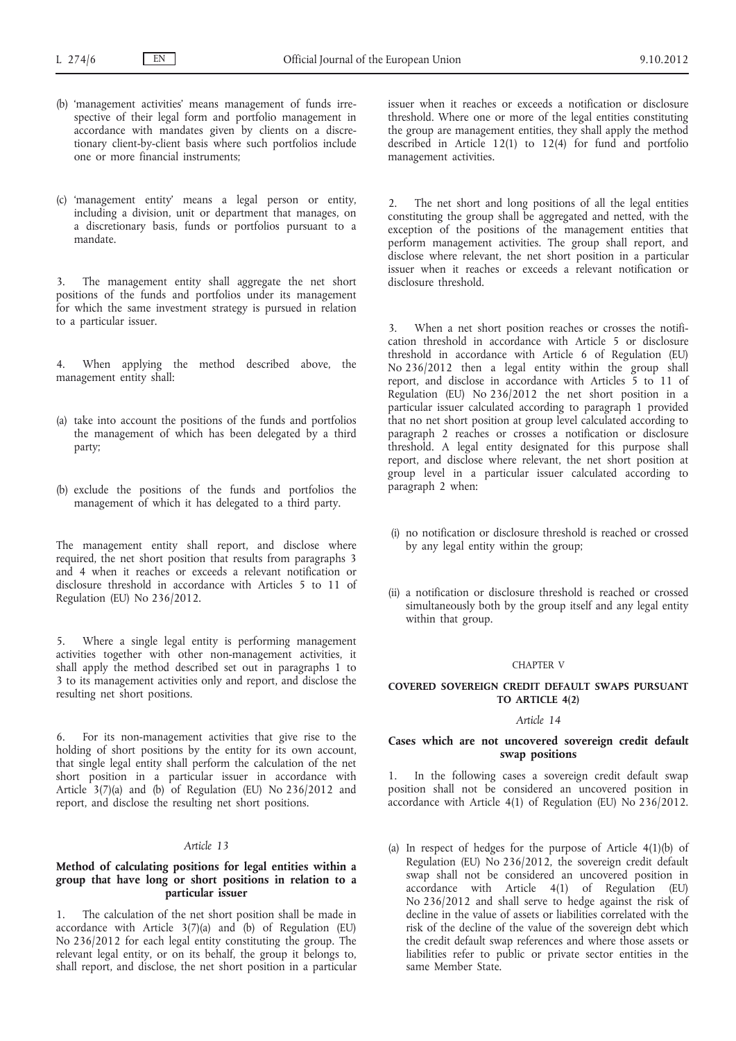- (b) 'management activities' means management of funds irrespective of their legal form and portfolio management in accordance with mandates given by clients on a discretionary client-by-client basis where such portfolios include one or more financial instruments;
- (c) 'management entity' means a legal person or entity, including a division, unit or department that manages, on a discretionary basis, funds or portfolios pursuant to a mandate.

3. The management entity shall aggregate the net short positions of the funds and portfolios under its management for which the same investment strategy is pursued in relation to a particular issuer.

When applying the method described above, the management entity shall:

- (a) take into account the positions of the funds and portfolios the management of which has been delegated by a third party;
- (b) exclude the positions of the funds and portfolios the management of which it has delegated to a third party.

The management entity shall report, and disclose where required, the net short position that results from paragraphs 3 and 4 when it reaches or exceeds a relevant notification or disclosure threshold in accordance with Articles 5 to 11 of Regulation (EU) No 236/2012.

5. Where a single legal entity is performing management activities together with other non-management activities, it shall apply the method described set out in paragraphs 1 to 3 to its management activities only and report, and disclose the resulting net short positions.

6. For its non-management activities that give rise to the holding of short positions by the entity for its own account, that single legal entity shall perform the calculation of the net short position in a particular issuer in accordance with Article 3(7)(a) and (b) of Regulation (EU) No 236/2012 and report, and disclose the resulting net short positions.

# *Article 13*

### **Method of calculating positions for legal entities within a group that have long or short positions in relation to a particular issuer**

1. The calculation of the net short position shall be made in accordance with Article  $3(7)(a)$  and (b) of Regulation (EU) No 236/2012 for each legal entity constituting the group. The relevant legal entity, or on its behalf, the group it belongs to, shall report, and disclose, the net short position in a particular issuer when it reaches or exceeds a notification or disclosure threshold. Where one or more of the legal entities constituting the group are management entities, they shall apply the method described in Article 12(1) to 12(4) for fund and portfolio management activities.

2. The net short and long positions of all the legal entities constituting the group shall be aggregated and netted, with the exception of the positions of the management entities that perform management activities. The group shall report, and disclose where relevant, the net short position in a particular issuer when it reaches or exceeds a relevant notification or disclosure threshold.

3. When a net short position reaches or crosses the notification threshold in accordance with Article 5 or disclosure threshold in accordance with Article 6 of Regulation (EU) No 236/2012 then a legal entity within the group shall report, and disclose in accordance with Articles 5 to 11 of Regulation (EU) No 236/2012 the net short position in a particular issuer calculated according to paragraph 1 provided that no net short position at group level calculated according to paragraph 2 reaches or crosses a notification or disclosure threshold. A legal entity designated for this purpose shall report, and disclose where relevant, the net short position at group level in a particular issuer calculated according to paragraph 2 when:

- (i) no notification or disclosure threshold is reached or crossed by any legal entity within the group;
- (ii) a notification or disclosure threshold is reached or crossed simultaneously both by the group itself and any legal entity within that group.

#### CHAPTER V

#### **COVERED SOVEREIGN CREDIT DEFAULT SWAPS PURSUANT TO ARTICLE 4(2)**

#### *Article 14*

### **Cases which are not uncovered sovereign credit default swap positions**

1. In the following cases a sovereign credit default swap position shall not be considered an uncovered position in accordance with Article 4(1) of Regulation (EU) No 236/2012.

(a) In respect of hedges for the purpose of Article 4(1)(b) of Regulation (EU) No 236/2012, the sovereign credit default swap shall not be considered an uncovered position in accordance with Article 4(1) of Regulation (EU) No 236/2012 and shall serve to hedge against the risk of decline in the value of assets or liabilities correlated with the risk of the decline of the value of the sovereign debt which the credit default swap references and where those assets or liabilities refer to public or private sector entities in the same Member State.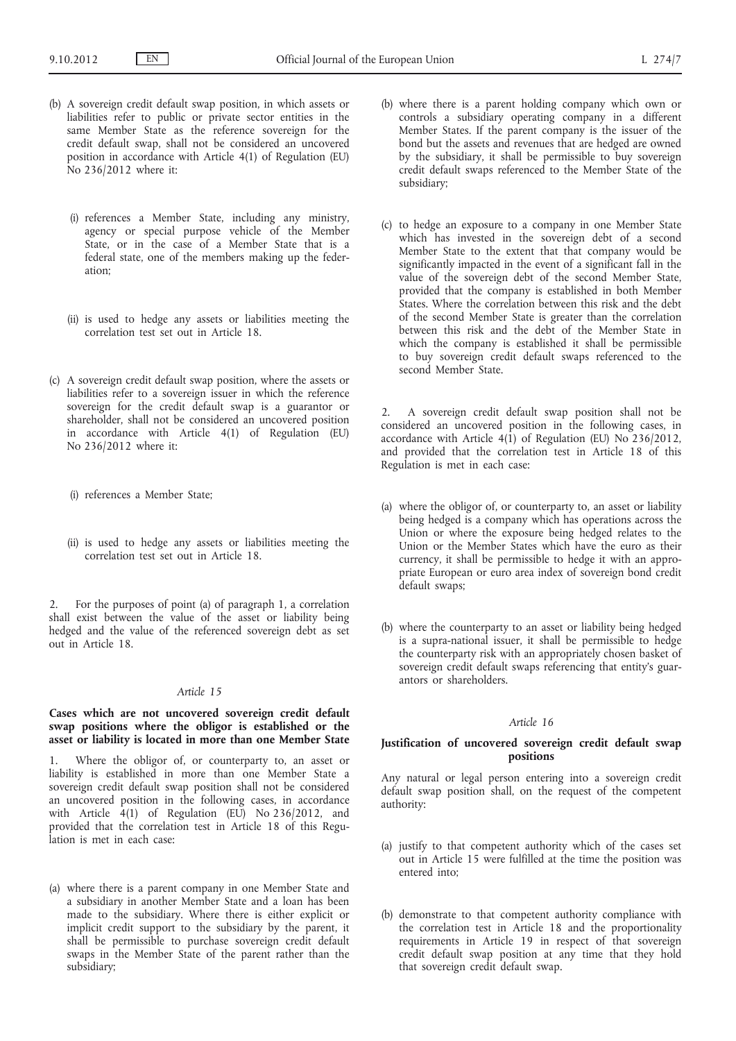- (b) A sovereign credit default swap position, in which assets or liabilities refer to public or private sector entities in the same Member State as the reference sovereign for the credit default swap, shall not be considered an uncovered position in accordance with Article 4(1) of Regulation (EU) No 236/2012 where it:
	- (i) references a Member State, including any ministry, agency or special purpose vehicle of the Member State, or in the case of a Member State that is a federal state, one of the members making up the federation;
	- (ii) is used to hedge any assets or liabilities meeting the correlation test set out in Article 18.
- (c) A sovereign credit default swap position, where the assets or liabilities refer to a sovereign issuer in which the reference sovereign for the credit default swap is a guarantor or shareholder, shall not be considered an uncovered position in accordance with Article 4(1) of Regulation (EU) No 236/2012 where it:
	- (i) references a Member State;
	- (ii) is used to hedge any assets or liabilities meeting the correlation test set out in Article 18.

2. For the purposes of point (a) of paragraph 1, a correlation shall exist between the value of the asset or liability being hedged and the value of the referenced sovereign debt as set out in Article 18.

#### *Article 15*

### **Cases which are not uncovered sovereign credit default swap positions where the obligor is established or the asset or liability is located in more than one Member State**

1. Where the obligor of, or counterparty to, an asset or liability is established in more than one Member State a sovereign credit default swap position shall not be considered an uncovered position in the following cases, in accordance with Article  $4(1)$  of Regulation (EU) No 236/2012, and provided that the correlation test in Article 18 of this Regulation is met in each case:

(a) where there is a parent company in one Member State and a subsidiary in another Member State and a loan has been made to the subsidiary. Where there is either explicit or implicit credit support to the subsidiary by the parent, it shall be permissible to purchase sovereign credit default swaps in the Member State of the parent rather than the subsidiary;

- (b) where there is a parent holding company which own or controls a subsidiary operating company in a different Member States. If the parent company is the issuer of the bond but the assets and revenues that are hedged are owned by the subsidiary, it shall be permissible to buy sovereign credit default swaps referenced to the Member State of the subsidiary;
- (c) to hedge an exposure to a company in one Member State which has invested in the sovereign debt of a second Member State to the extent that that company would be significantly impacted in the event of a significant fall in the value of the sovereign debt of the second Member State, provided that the company is established in both Member States. Where the correlation between this risk and the debt of the second Member State is greater than the correlation between this risk and the debt of the Member State in which the company is established it shall be permissible to buy sovereign credit default swaps referenced to the second Member State.

2. A sovereign credit default swap position shall not be considered an uncovered position in the following cases, in accordance with Article  $4(1)$  of Regulation (EU) No 236/2012, and provided that the correlation test in Article 18 of this Regulation is met in each case:

- (a) where the obligor of, or counterparty to, an asset or liability being hedged is a company which has operations across the Union or where the exposure being hedged relates to the Union or the Member States which have the euro as their currency, it shall be permissible to hedge it with an appropriate European or euro area index of sovereign bond credit default swaps;
- (b) where the counterparty to an asset or liability being hedged is a supra-national issuer, it shall be permissible to hedge the counterparty risk with an appropriately chosen basket of sovereign credit default swaps referencing that entity's guarantors or shareholders.

### *Article 16*

#### **Justification of uncovered sovereign credit default swap positions**

Any natural or legal person entering into a sovereign credit default swap position shall, on the request of the competent authority:

- (a) justify to that competent authority which of the cases set out in Article 15 were fulfilled at the time the position was entered into;
- (b) demonstrate to that competent authority compliance with the correlation test in Article 18 and the proportionality requirements in Article 19 in respect of that sovereign credit default swap position at any time that they hold that sovereign credit default swap.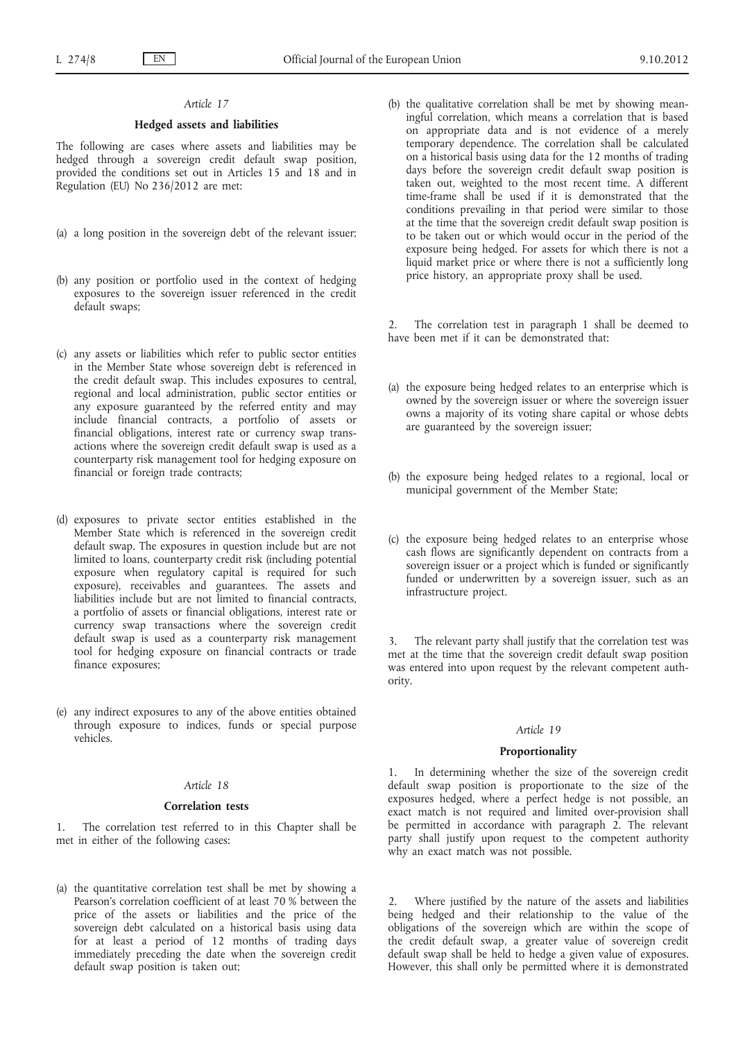# *Article 17*

### **Hedged assets and liabilities**

The following are cases where assets and liabilities may be hedged through a sovereign credit default swap position, provided the conditions set out in Articles 15 and 18 and in Regulation (EU) No 236/2012 are met:

- (a) a long position in the sovereign debt of the relevant issuer;
- (b) any position or portfolio used in the context of hedging exposures to the sovereign issuer referenced in the credit default swaps;
- (c) any assets or liabilities which refer to public sector entities in the Member State whose sovereign debt is referenced in the credit default swap. This includes exposures to central, regional and local administration, public sector entities or any exposure guaranteed by the referred entity and may include financial contracts, a portfolio of assets or financial obligations, interest rate or currency swap transactions where the sovereign credit default swap is used as a counterparty risk management tool for hedging exposure on financial or foreign trade contracts;
- (d) exposures to private sector entities established in the Member State which is referenced in the sovereign credit default swap. The exposures in question include but are not limited to loans, counterparty credit risk (including potential exposure when regulatory capital is required for such exposure), receivables and guarantees. The assets and liabilities include but are not limited to financial contracts, a portfolio of assets or financial obligations, interest rate or currency swap transactions where the sovereign credit default swap is used as a counterparty risk management tool for hedging exposure on financial contracts or trade finance exposures;
- (e) any indirect exposures to any of the above entities obtained through exposure to indices, funds or special purpose vehicles.

### *Article 18*

#### **Correlation tests**

1. The correlation test referred to in this Chapter shall be met in either of the following cases:

(a) the quantitative correlation test shall be met by showing a Pearson's correlation coefficient of at least 70 % between the price of the assets or liabilities and the price of the sovereign debt calculated on a historical basis using data for at least a period of 12 months of trading days immediately preceding the date when the sovereign credit default swap position is taken out;

(b) the qualitative correlation shall be met by showing meaningful correlation, which means a correlation that is based on appropriate data and is not evidence of a merely temporary dependence. The correlation shall be calculated on a historical basis using data for the 12 months of trading days before the sovereign credit default swap position is taken out, weighted to the most recent time. A different time-frame shall be used if it is demonstrated that the conditions prevailing in that period were similar to those at the time that the sovereign credit default swap position is to be taken out or which would occur in the period of the exposure being hedged. For assets for which there is not a liquid market price or where there is not a sufficiently long price history, an appropriate proxy shall be used.

The correlation test in paragraph 1 shall be deemed to have been met if it can be demonstrated that:

- (a) the exposure being hedged relates to an enterprise which is owned by the sovereign issuer or where the sovereign issuer owns a majority of its voting share capital or whose debts are guaranteed by the sovereign issuer;
- (b) the exposure being hedged relates to a regional, local or municipal government of the Member State;
- (c) the exposure being hedged relates to an enterprise whose cash flows are significantly dependent on contracts from a sovereign issuer or a project which is funded or significantly funded or underwritten by a sovereign issuer, such as an infrastructure project.

The relevant party shall justify that the correlation test was met at the time that the sovereign credit default swap position was entered into upon request by the relevant competent authority.

# *Article 19*

#### **Proportionality**

1. In determining whether the size of the sovereign credit default swap position is proportionate to the size of the exposures hedged, where a perfect hedge is not possible, an exact match is not required and limited over-provision shall be permitted in accordance with paragraph 2. The relevant party shall justify upon request to the competent authority why an exact match was not possible.

Where justified by the nature of the assets and liabilities being hedged and their relationship to the value of the obligations of the sovereign which are within the scope of the credit default swap, a greater value of sovereign credit default swap shall be held to hedge a given value of exposures. However, this shall only be permitted where it is demonstrated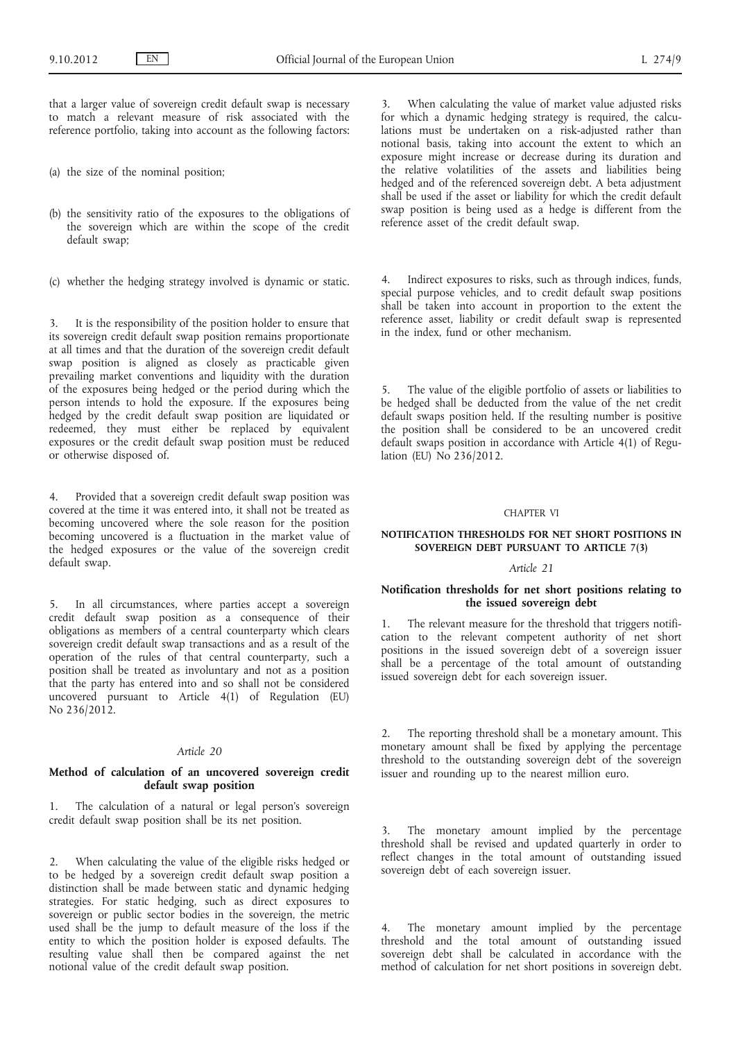that a larger value of sovereign credit default swap is necessary to match a relevant measure of risk associated with the reference portfolio, taking into account as the following factors:

- (a) the size of the nominal position;
- (b) the sensitivity ratio of the exposures to the obligations of the sovereign which are within the scope of the credit default swap;
- (c) whether the hedging strategy involved is dynamic or static.

3. It is the responsibility of the position holder to ensure that its sovereign credit default swap position remains proportionate at all times and that the duration of the sovereign credit default swap position is aligned as closely as practicable given prevailing market conventions and liquidity with the duration of the exposures being hedged or the period during which the person intends to hold the exposure. If the exposures being hedged by the credit default swap position are liquidated or redeemed, they must either be replaced by equivalent exposures or the credit default swap position must be reduced or otherwise disposed of.

4. Provided that a sovereign credit default swap position was covered at the time it was entered into, it shall not be treated as becoming uncovered where the sole reason for the position becoming uncovered is a fluctuation in the market value of the hedged exposures or the value of the sovereign credit default swap.

5. In all circumstances, where parties accept a sovereign credit default swap position as a consequence of their obligations as members of a central counterparty which clears sovereign credit default swap transactions and as a result of the operation of the rules of that central counterparty, such a position shall be treated as involuntary and not as a position that the party has entered into and so shall not be considered uncovered pursuant to Article 4(1) of Regulation (EU) No 236/2012.

#### *Article 20*

# **Method of calculation of an uncovered sovereign credit default swap position**

1. The calculation of a natural or legal person's sovereign credit default swap position shall be its net position.

2. When calculating the value of the eligible risks hedged or to be hedged by a sovereign credit default swap position a distinction shall be made between static and dynamic hedging strategies. For static hedging, such as direct exposures to sovereign or public sector bodies in the sovereign, the metric used shall be the jump to default measure of the loss if the entity to which the position holder is exposed defaults. The resulting value shall then be compared against the net notional value of the credit default swap position.

When calculating the value of market value adjusted risks for which a dynamic hedging strategy is required, the calculations must be undertaken on a risk-adjusted rather than notional basis, taking into account the extent to which an exposure might increase or decrease during its duration and the relative volatilities of the assets and liabilities being hedged and of the referenced sovereign debt. A beta adjustment shall be used if the asset or liability for which the credit default swap position is being used as a hedge is different from the reference asset of the credit default swap.

4. Indirect exposures to risks, such as through indices, funds, special purpose vehicles, and to credit default swap positions shall be taken into account in proportion to the extent the reference asset, liability or credit default swap is represented in the index, fund or other mechanism.

5. The value of the eligible portfolio of assets or liabilities to be hedged shall be deducted from the value of the net credit default swaps position held. If the resulting number is positive the position shall be considered to be an uncovered credit default swaps position in accordance with Article 4(1) of Regulation (EU) No 236/2012.

### CHAPTER VI

# **NOTIFICATION THRESHOLDS FOR NET SHORT POSITIONS IN SOVEREIGN DEBT PURSUANT TO ARTICLE 7(3)**

#### *Article 21*

# **Notification thresholds for net short positions relating to the issued sovereign debt**

1. The relevant measure for the threshold that triggers notification to the relevant competent authority of net short positions in the issued sovereign debt of a sovereign issuer shall be a percentage of the total amount of outstanding issued sovereign debt for each sovereign issuer.

2. The reporting threshold shall be a monetary amount. This monetary amount shall be fixed by applying the percentage threshold to the outstanding sovereign debt of the sovereign issuer and rounding up to the nearest million euro.

3. The monetary amount implied by the percentage threshold shall be revised and updated quarterly in order to reflect changes in the total amount of outstanding issued sovereign debt of each sovereign issuer.

4. The monetary amount implied by the percentage threshold and the total amount of outstanding issued sovereign debt shall be calculated in accordance with the method of calculation for net short positions in sovereign debt.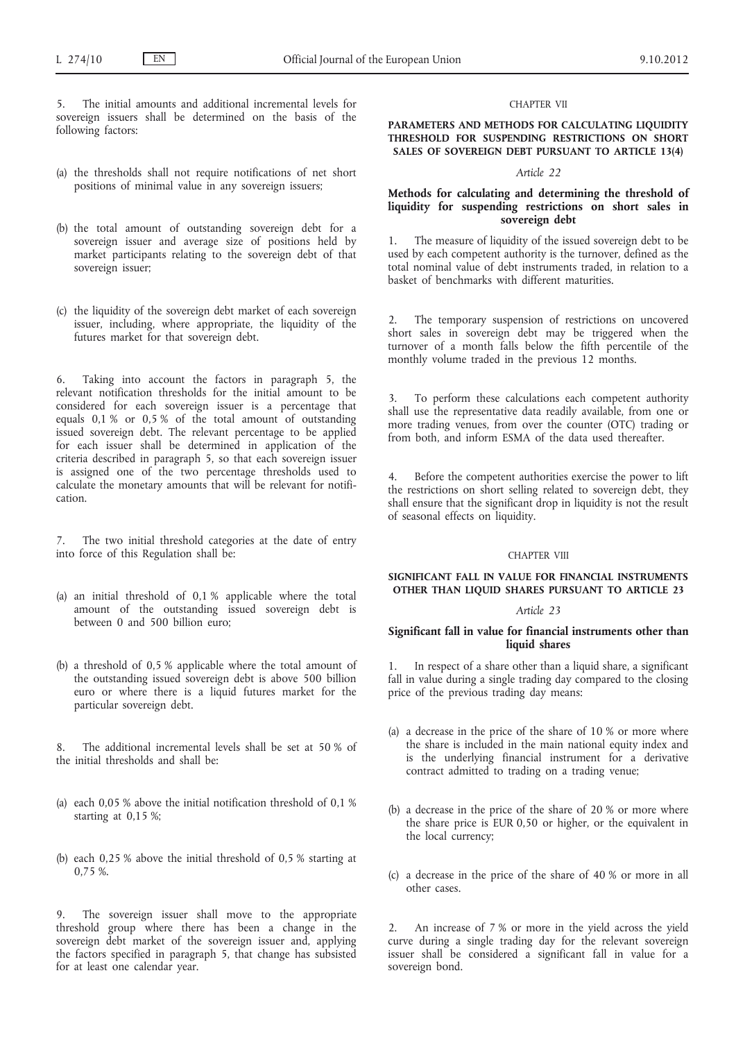5. The initial amounts and additional incremental levels for sovereign issuers shall be determined on the basis of the following factors:

- (a) the thresholds shall not require notifications of net short positions of minimal value in any sovereign issuers;
- (b) the total amount of outstanding sovereign debt for a sovereign issuer and average size of positions held by market participants relating to the sovereign debt of that sovereign issuer;
- (c) the liquidity of the sovereign debt market of each sovereign issuer, including, where appropriate, the liquidity of the futures market for that sovereign debt.

6. Taking into account the factors in paragraph 5, the relevant notification thresholds for the initial amount to be considered for each sovereign issuer is a percentage that equals 0,1 % or 0,5 % of the total amount of outstanding issued sovereign debt. The relevant percentage to be applied for each issuer shall be determined in application of the criteria described in paragraph 5, so that each sovereign issuer is assigned one of the two percentage thresholds used to calculate the monetary amounts that will be relevant for notification.

The two initial threshold categories at the date of entry into force of this Regulation shall be:

- (a) an initial threshold of 0,1 % applicable where the total amount of the outstanding issued sovereign debt is between 0 and 500 billion euro;
- (b) a threshold of 0,5 % applicable where the total amount of the outstanding issued sovereign debt is above 500 billion euro or where there is a liquid futures market for the particular sovereign debt.

8. The additional incremental levels shall be set at 50 % of the initial thresholds and shall be:

- (a) each 0,05 % above the initial notification threshold of 0,1 % starting at 0,15 %;
- (b) each 0,25 % above the initial threshold of 0,5 % starting at 0,75 %.

The sovereign issuer shall move to the appropriate threshold group where there has been a change in the sovereign debt market of the sovereign issuer and, applying the factors specified in paragraph 5, that change has subsisted for at least one calendar year.

#### CHAPTER VII

**PARAMETERS AND METHODS FOR CALCULATING LIQUIDITY THRESHOLD FOR SUSPENDING RESTRICTIONS ON SHORT SALES OF SOVEREIGN DEBT PURSUANT TO ARTICLE 13(4)**

#### *Article 22*

### **Methods for calculating and determining the threshold of liquidity for suspending restrictions on short sales in sovereign debt**

The measure of liquidity of the issued sovereign debt to be used by each competent authority is the turnover, defined as the total nominal value of debt instruments traded, in relation to a basket of benchmarks with different maturities.

2. The temporary suspension of restrictions on uncovered short sales in sovereign debt may be triggered when the turnover of a month falls below the fifth percentile of the monthly volume traded in the previous 12 months.

To perform these calculations each competent authority shall use the representative data readily available, from one or more trading venues, from over the counter (OTC) trading or from both, and inform ESMA of the data used thereafter.

4. Before the competent authorities exercise the power to lift the restrictions on short selling related to sovereign debt, they shall ensure that the significant drop in liquidity is not the result of seasonal effects on liquidity.

#### CHAPTER VIII

# **SIGNIFICANT FALL IN VALUE FOR FINANCIAL INSTRUMENTS OTHER THAN LIQUID SHARES PURSUANT TO ARTICLE 23**

#### *Article 23*

### **Significant fall in value for financial instruments other than liquid shares**

1. In respect of a share other than a liquid share, a significant fall in value during a single trading day compared to the closing price of the previous trading day means:

- (a) a decrease in the price of the share of 10 % or more where the share is included in the main national equity index and is the underlying financial instrument for a derivative contract admitted to trading on a trading venue;
- (b) a decrease in the price of the share of 20 % or more where the share price is EUR 0,50 or higher, or the equivalent in the local currency;
- (c) a decrease in the price of the share of 40 % or more in all other cases.

2. An increase of 7 % or more in the yield across the yield curve during a single trading day for the relevant sovereign issuer shall be considered a significant fall in value for a sovereign bond.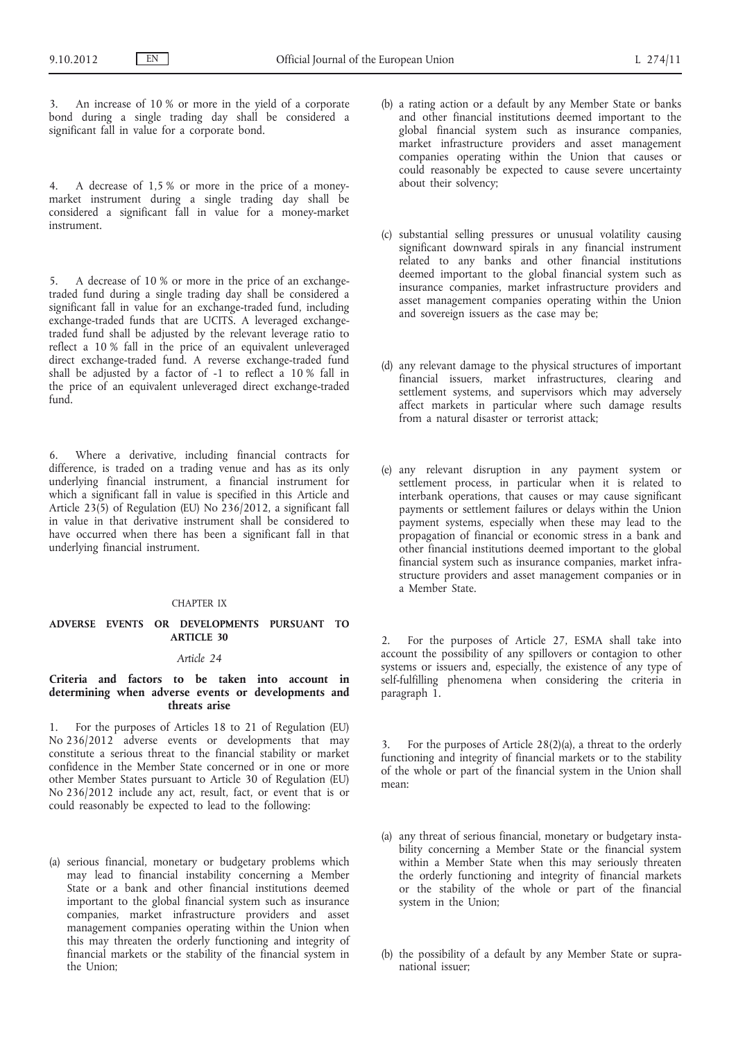3. An increase of 10 % or more in the yield of a corporate bond during a single trading day shall be considered a significant fall in value for a corporate bond.

4. A decrease of 1,5 % or more in the price of a moneymarket instrument during a single trading day shall be considered a significant fall in value for a money-market instrument.

5. A decrease of 10 % or more in the price of an exchangetraded fund during a single trading day shall be considered a significant fall in value for an exchange-traded fund, including exchange-traded funds that are UCITS. A leveraged exchangetraded fund shall be adjusted by the relevant leverage ratio to reflect a 10 % fall in the price of an equivalent unleveraged direct exchange-traded fund. A reverse exchange-traded fund shall be adjusted by a factor of -1 to reflect a 10 % fall in the price of an equivalent unleveraged direct exchange-traded fund.

6. Where a derivative, including financial contracts for difference, is traded on a trading venue and has as its only underlying financial instrument, a financial instrument for which a significant fall in value is specified in this Article and Article 23(5) of Regulation (EU) No  $236/2012$ , a significant fall in value in that derivative instrument shall be considered to have occurred when there has been a significant fall in that underlying financial instrument.

#### CHAPTER IX

# **ADVERSE EVENTS OR DEVELOPMENTS PURSUANT TO ARTICLE 30**

### *Article 24*

# **Criteria and factors to be taken into account in determining when adverse events or developments and threats arise**

1. For the purposes of Articles 18 to 21 of Regulation (EU) No 236/2012 adverse events or developments that may constitute a serious threat to the financial stability or market confidence in the Member State concerned or in one or more other Member States pursuant to Article 30 of Regulation (EU) No 236/2012 include any act, result, fact, or event that is or could reasonably be expected to lead to the following:

(a) serious financial, monetary or budgetary problems which may lead to financial instability concerning a Member State or a bank and other financial institutions deemed important to the global financial system such as insurance companies, market infrastructure providers and asset management companies operating within the Union when this may threaten the orderly functioning and integrity of financial markets or the stability of the financial system in the Union;

- (b) a rating action or a default by any Member State or banks and other financial institutions deemed important to the global financial system such as insurance companies, market infrastructure providers and asset management companies operating within the Union that causes or could reasonably be expected to cause severe uncertainty about their solvency;
- (c) substantial selling pressures or unusual volatility causing significant downward spirals in any financial instrument related to any banks and other financial institutions deemed important to the global financial system such as insurance companies, market infrastructure providers and asset management companies operating within the Union and sovereign issuers as the case may be;
- (d) any relevant damage to the physical structures of important financial issuers, market infrastructures, clearing and settlement systems, and supervisors which may adversely affect markets in particular where such damage results from a natural disaster or terrorist attack;
- (e) any relevant disruption in any payment system or settlement process, in particular when it is related to interbank operations, that causes or may cause significant payments or settlement failures or delays within the Union payment systems, especially when these may lead to the propagation of financial or economic stress in a bank and other financial institutions deemed important to the global financial system such as insurance companies, market infrastructure providers and asset management companies or in a Member State.

2. For the purposes of Article 27, ESMA shall take into account the possibility of any spillovers or contagion to other systems or issuers and, especially, the existence of any type of self-fulfilling phenomena when considering the criteria in paragraph 1.

3. For the purposes of Article 28(2)(a), a threat to the orderly functioning and integrity of financial markets or to the stability of the whole or part of the financial system in the Union shall mean:

- (a) any threat of serious financial, monetary or budgetary instability concerning a Member State or the financial system within a Member State when this may seriously threaten the orderly functioning and integrity of financial markets or the stability of the whole or part of the financial system in the Union;
- (b) the possibility of a default by any Member State or supranational issuer;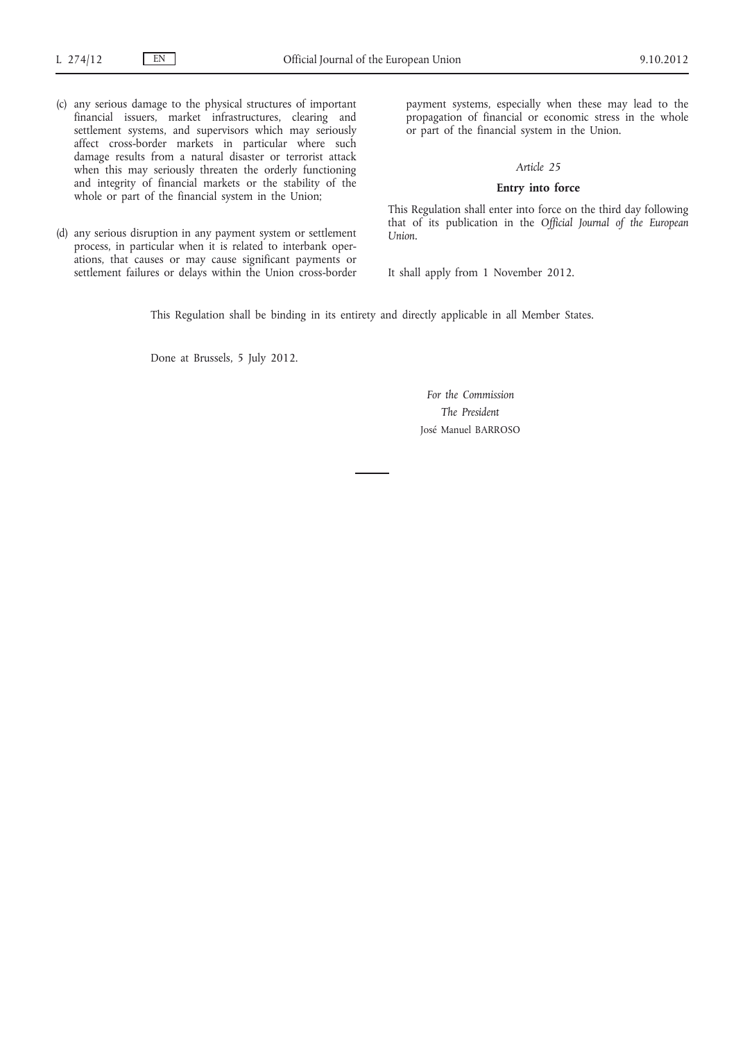- (c) any serious damage to the physical structures of important financial issuers, market infrastructures, clearing and settlement systems, and supervisors which may seriously affect cross-border markets in particular where such damage results from a natural disaster or terrorist attack when this may seriously threaten the orderly functioning and integrity of financial markets or the stability of the whole or part of the financial system in the Union;
- (d) any serious disruption in any payment system or settlement process, in particular when it is related to interbank operations, that causes or may cause significant payments or settlement failures or delays within the Union cross-border

payment systems, especially when these may lead to the propagation of financial or economic stress in the whole or part of the financial system in the Union.

#### *Article 25*

# **Entry into force**

This Regulation shall enter into force on the third day following that of its publication in the *Official Journal of the European Union*.

It shall apply from 1 November 2012.

This Regulation shall be binding in its entirety and directly applicable in all Member States.

Done at Brussels, 5 July 2012.

*For the Commission The President* José Manuel BARROSO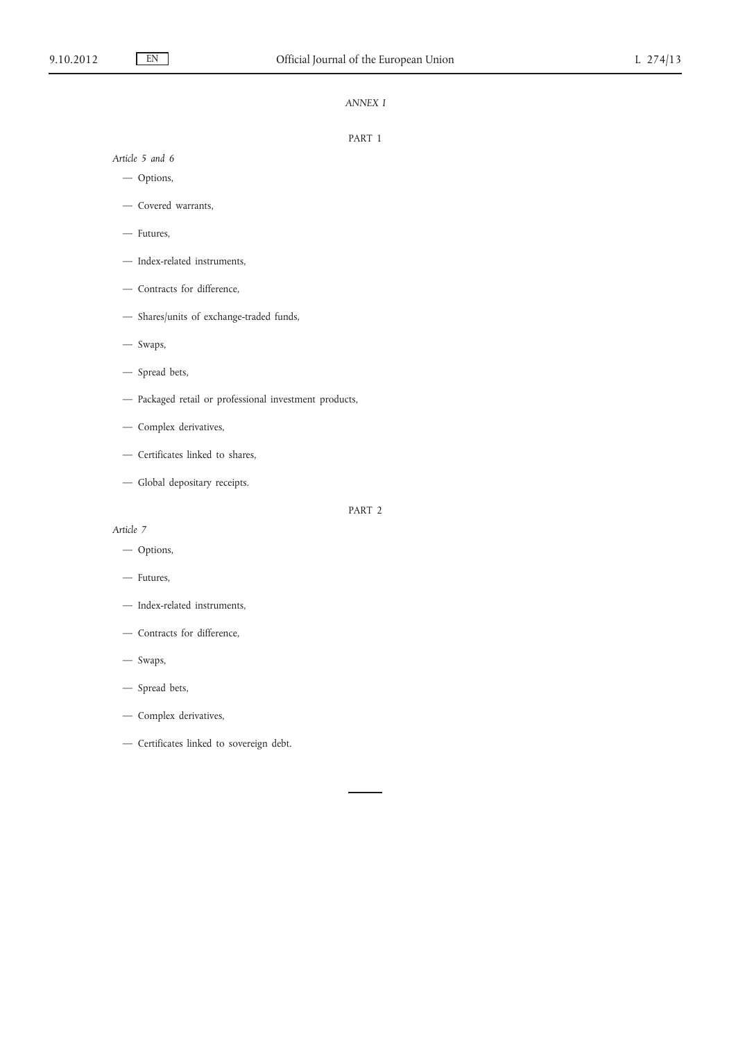# *ANNEX I*

#### PART 1

*Article 5 and 6*

- Options,
- Covered warrants,
- Futures,
- Index-related instruments,
- Contracts for difference,
- Shares/units of exchange-traded funds,
- Swaps,
- Spread bets,
- Packaged retail or professional investment products,
- Complex derivatives,
- Certificates linked to shares,
- Global depositary receipts.

# PART 2

*Article 7*

- Options,
- Futures,
- Index-related instruments,
- Contracts for difference,
- Swaps,
- Spread bets,
- Complex derivatives,
- Certificates linked to sovereign debt.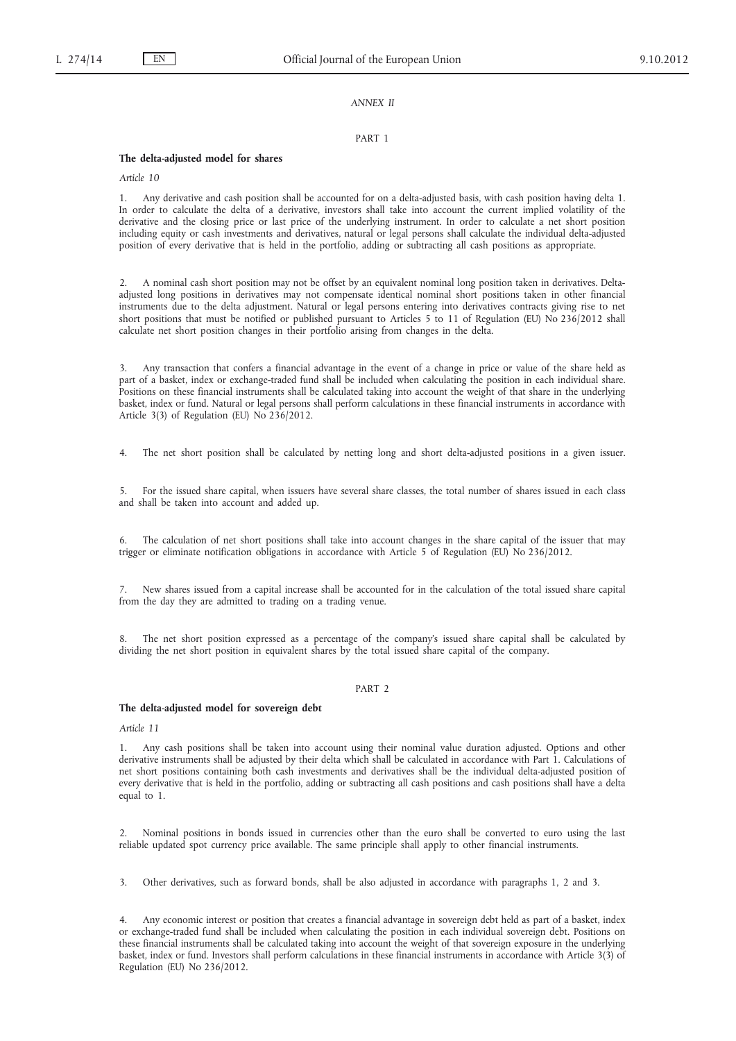#### *ANNEX II*

#### PART 1

#### **The delta-adjusted model for shares**

*Article 10*

1. Any derivative and cash position shall be accounted for on a delta-adjusted basis, with cash position having delta 1. In order to calculate the delta of a derivative, investors shall take into account the current implied volatility of the derivative and the closing price or last price of the underlying instrument. In order to calculate a net short position including equity or cash investments and derivatives, natural or legal persons shall calculate the individual delta-adjusted position of every derivative that is held in the portfolio, adding or subtracting all cash positions as appropriate.

2. A nominal cash short position may not be offset by an equivalent nominal long position taken in derivatives. Deltaadjusted long positions in derivatives may not compensate identical nominal short positions taken in other financial instruments due to the delta adjustment. Natural or legal persons entering into derivatives contracts giving rise to net short positions that must be notified or published pursuant to Articles 5 to 11 of Regulation (EU) No 236/2012 shall calculate net short position changes in their portfolio arising from changes in the delta.

3. Any transaction that confers a financial advantage in the event of a change in price or value of the share held as part of a basket, index or exchange-traded fund shall be included when calculating the position in each individual share. Positions on these financial instruments shall be calculated taking into account the weight of that share in the underlying basket, index or fund. Natural or legal persons shall perform calculations in these financial instruments in accordance with Article 3(3) of Regulation (EU) No 236/2012.

4. The net short position shall be calculated by netting long and short delta-adjusted positions in a given issuer.

5. For the issued share capital, when issuers have several share classes, the total number of shares issued in each class and shall be taken into account and added up.

6. The calculation of net short positions shall take into account changes in the share capital of the issuer that may trigger or eliminate notification obligations in accordance with Article 5 of Regulation (EU) No 236/2012.

7. New shares issued from a capital increase shall be accounted for in the calculation of the total issued share capital from the day they are admitted to trading on a trading venue.

8. The net short position expressed as a percentage of the company's issued share capital shall be calculated by dividing the net short position in equivalent shares by the total issued share capital of the company.

### PART 2

#### **The delta-adjusted model for sovereign debt**

*Article 11*

1. Any cash positions shall be taken into account using their nominal value duration adjusted. Options and other derivative instruments shall be adjusted by their delta which shall be calculated in accordance with Part 1. Calculations of net short positions containing both cash investments and derivatives shall be the individual delta-adjusted position of every derivative that is held in the portfolio, adding or subtracting all cash positions and cash positions shall have a delta equal to 1.

2. Nominal positions in bonds issued in currencies other than the euro shall be converted to euro using the last reliable updated spot currency price available. The same principle shall apply to other financial instruments.

3. Other derivatives, such as forward bonds, shall be also adjusted in accordance with paragraphs 1, 2 and 3.

4. Any economic interest or position that creates a financial advantage in sovereign debt held as part of a basket, index or exchange-traded fund shall be included when calculating the position in each individual sovereign debt. Positions on these financial instruments shall be calculated taking into account the weight of that sovereign exposure in the underlying basket, index or fund. Investors shall perform calculations in these financial instruments in accordance with Article 3(3) of Regulation (EU) No 236/2012.